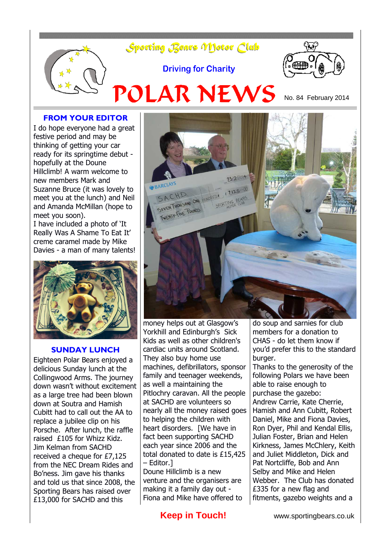

#### **FROM YOUR EDITOR**

I do hope everyone had a great festive period and may be thinking of getting your car ready for its springtime debut hopefully at the Doune Hillclimb! A warm welcome to new members Mark and Suzanne Bruce (it was lovely to meet you at the lunch) and Neil and Amanda McMillan (hope to meet you soon). I have included a photo of 'It

Really Was A Shame To Eat It' creme caramel made by Mike Davies - a man of many talents!



#### **SUNDAY LUNCH**

Eighteen Polar Bears enjoyed a delicious Sunday lunch at the Collingwood Arms. The journey down wasn't without excitement as a large tree had been blown down at Soutra and Hamish Cubitt had to call out the AA to replace a jubilee clip on his Porsche. After lunch, the raffle raised £105 for Whizz Kidz. Jim Kelman from SACHD received a cheque for £7,125 from the NEC Dream Rides and Bo'ness. Jim gave his thanks and told us that since 2008, the Sporting Bears has raised over £13,000 for SACHD and this



money helps out at Glasgow's Yorkhill and Edinburgh's Sick Kids as well as other children's cardiac units around Scotland. They also buy home use machines, defibrillators, sponsor family and teenager weekends, as well a maintaining the Pitlochry caravan. All the people at SACHD are volunteers so nearly all the money raised goes to helping the children with heart disorders. [We have in fact been supporting SACHD each year since 2006 and the total donated to date is £15,425 – Editor.]

Doune Hillclimb is a new venture and the organisers are making it a family day out - Fiona and Mike have offered to

do soup and sarnies for club members for a donation to CHAS - do let them know if you'd prefer this to the standard burger.

Thanks to the generosity of the following Polars we have been able to raise enough to purchase the gazebo: Andrew Carrie, Kate Cherrie, Hamish and Ann Cubitt, Robert Daniel, Mike and Fiona Davies, Ron Dyer, Phil and Kendal Ellis, Julian Foster, Brian and Helen Kirkness, James McChlery, Keith and Juliet Middleton, Dick and Pat Nortcliffe, Bob and Ann Selby and Mike and Helen Webber. The Club has donated £335 for a new flag and fitments, gazebo weights and a

**Keep in Touch!** www.sportingbears.co.uk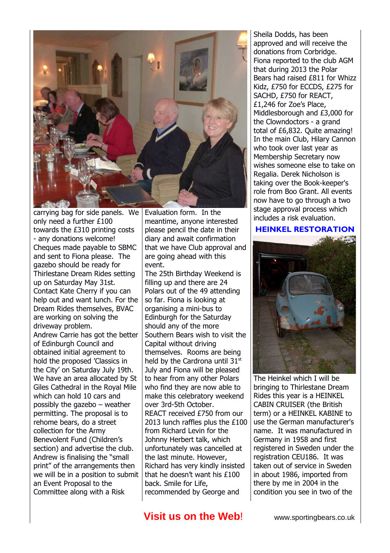

carrying bag for side panels. We only need a further £100 towards the £310 printing costs - any donations welcome! Cheques made payable to SBMC and sent to Fiona please. The gazebo should be ready for Thirlestane Dream Rides setting up on Saturday May 31st. Contact Kate Cherry if you can help out and want lunch. For the Dream Rides themselves, BVAC are working on solving the driveway problem. Andrew Carrie has got the better of Edinburgh Council and obtained initial agreement to hold the proposed 'Classics in the City' on Saturday July 19th. We have an area allocated by St Giles Cathedral in the Royal Mile which can hold 10 cars and possibly the gazebo – weather permitting. The proposal is to rehome bears, do a street collection for the Army Benevolent Fund (Children's section) and advertise the club. Andrew is finalising the "small print" of the arrangements then we will be in a position to submit an Event Proposal to the Committee along with a Risk

Evaluation form. In the meantime, anyone interested please pencil the date in their diary and await confirmation that we have Club approval and are going ahead with this event.

The 25th Birthday Weekend is filling up and there are 24 Polars out of the 49 attending so far. Fiona is looking at organising a mini-bus to Edinburgh for the Saturday should any of the more Southern Bears wish to visit the Capital without driving themselves. Rooms are being held by the Cardrona until 31st July and Fiona will be pleased to hear from any other Polars who find they are now able to make this celebratory weekend over 3rd-5th October. REACT received £750 from our 2013 lunch raffles plus the £100 from Richard Levin for the Johnny Herbert talk, which unfortunately was cancelled at the last minute. However, Richard has very kindly insisted that he doesn't want his £100 back. Smile for Life, recommended by George and

Sheila Dodds, has been approved and will receive the donations from Corbridge. Fiona reported to the club AGM that during 2013 the Polar Bears had raised £811 for Whizz Kidz, £750 for ECCDS, £275 for SACHD, £750 for REACT, £1,246 for Zoe's Place, Middlesborough and £3,000 for the Clowndoctors - a grand total of £6,832. Quite amazing! In the main Club, Hilary Cannon who took over last year as Membership Secretary now wishes someone else to take on Regalia. Derek Nicholson is taking over the Book-keeper's role from Boo Grant. All events now have to go through a two stage approval process which includes a risk evaluation.

#### **HEINKEL RESTORATION**



The Heinkel which I will be bringing to Thirlestane Dream Rides this year is a HEINKEL CABIN CRUISER (the British term) or a HEINKEL KABINE to use the German manufacturer's name. It was manufactured in Germany in 1958 and first registered in Sweden under the registration CEU186. It was taken out of service in Sweden in about 1986, imported from there by me in 2004 in the condition you see in two of the

# **Visit us on the Web!** www.sportingbears.co.uk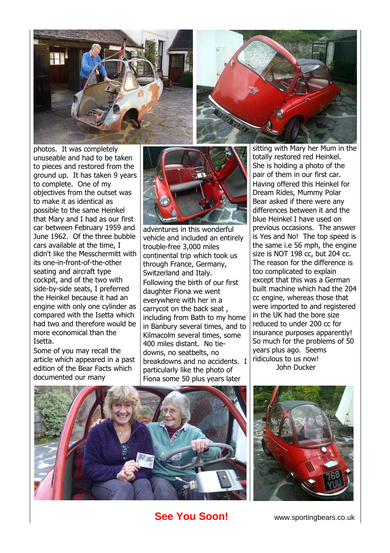



photos. It was completely unuseable and had to be taken to pieces and restored from the ground up. It has taken 9 years to complete. One of my objectives from the outset was to make it as identical as possible to the same Heinkel that Mary and I had as our first car between February 1959 and June 1962. Of the three bubble cars available at the time, I didn't like the Messchermitt with its one-in-front-of-the-other seating and aircraft type cockpit, and of the two with side-by-side seats, I preferred the Heinkel because it had an engine with only one cylinder as compared with the Isetta which had two and therefore would be more economical than the Isetta.

Some of you may recall the article which appeared in a past edition of the Bear Facts which documented our many



adventures in this wonderful vehicle and included an entirely trouble-free 3,000 miles continental trip which took us through France, Germany, Switzerland and Italy. Following the birth of our first daughter Fiona we went everywhere with her in a carrycot on the back seat , including from Bath to my home in Banbury several times, and to Kilmacolm several times, some 400 miles distant. No tiedowns, no seatbelts, no breakdowns and no accidents. I particularly like the photo of Fiona some 50 plus years later

sitting with Mary her Mum in the totally restored red Heinkel. She is holding a photo of the pair of them in our first car. Having offered this Heinkel for Dream Rides, Mummy Polar Bear asked if there were any differences between it and the blue Heinkel I have used on previous occasions. The answer is Yes and No! The top speed is the same i.e 56 mph, the engine size is NOT 198 cc, but 204 cc. The reason for the difference is too complicated to explain except that this was a German built machine which had the 204 cc engine, whereas those that were imported to and registered in the UK had the bore size reduced to under 200 cc for insurance purposes apparently! So much for the problems of 50 years plus ago. Seems ridiculous to us now! John Ducker





# **See You Soon!** www.sportingbears.co.uk